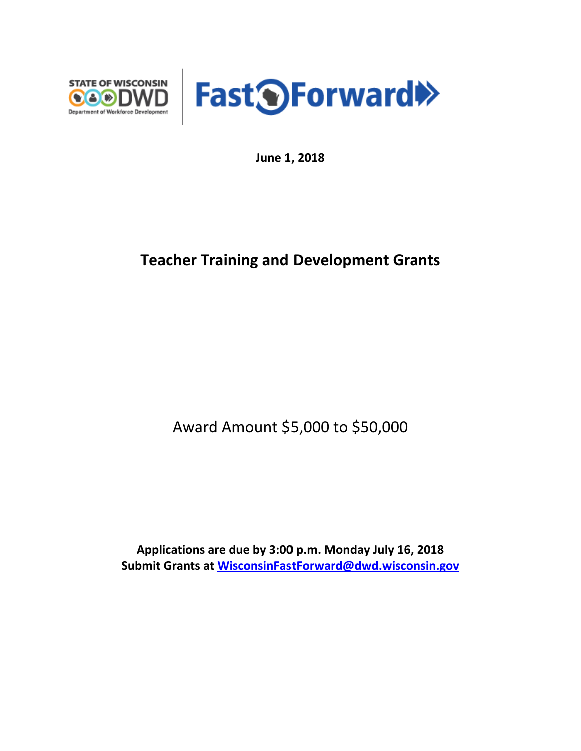



**June 1, 2018**

## **Teacher Training and Development Grants**

Award Amount \$5,000 to \$50,000

**Applications are due by 3:00 p.m. Monday July 16, 2018 Submit Grants at [WisconsinFastForward@dwd.wisconsin.gov](mailto:WisconsinFastForward@dwd.wisconsin.gov)**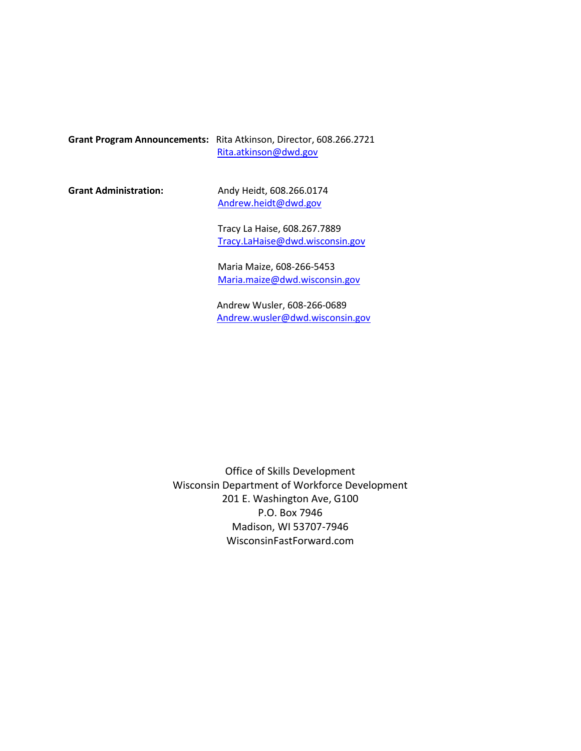**Grant Program Announcements:** Rita Atkinson, Director, 608.266.2721 [Rita.atkinson@dwd.gov](mailto:Rita.atkinson@dwd.gov)

Grant Administration: Andy Heidt, 608.266.0174 [Andrew.heidt@dwd.gov](mailto:Andrew.heidt@dwd.gov)

> Tracy La Haise, 608.267.7889 [Tracy.LaHaise@dwd.wisconsin.gov](mailto:Tracy.LaHaise@dwd.wisconsin.gov)

Maria Maize, 608-266-5453 [Maria.maize@dwd.wisconsin.gov](mailto:Maria.maize@dwd.wisconsin.gov)

 Andrew Wusler, 608-266-0689 [Andrew.wusler@dwd.wisconsin.gov](mailto:Andrew.wusler@dwd.wisconsin.gov)

Office of Skills Development Wisconsin Department of Workforce Development 201 E. Washington Ave, G100 P.O. Box 7946 Madison, WI 53707-7946 WisconsinFastForward.com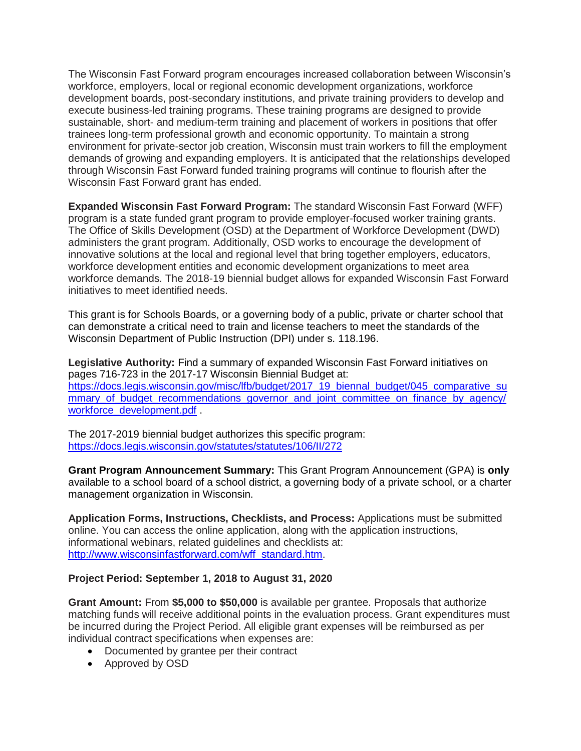The Wisconsin Fast Forward program encourages increased collaboration between Wisconsin's workforce, employers, local or regional economic development organizations, workforce development boards, post-secondary institutions, and private training providers to develop and execute business-led training programs. These training programs are designed to provide sustainable, short- and medium-term training and placement of workers in positions that offer trainees long-term professional growth and economic opportunity. To maintain a strong environment for private-sector job creation, Wisconsin must train workers to fill the employment demands of growing and expanding employers. It is anticipated that the relationships developed through Wisconsin Fast Forward funded training programs will continue to flourish after the Wisconsin Fast Forward grant has ended.

**Expanded Wisconsin Fast Forward Program:** The standard Wisconsin Fast Forward (WFF) program is a state funded grant program to provide employer-focused worker training grants. The Office of Skills Development (OSD) at the Department of Workforce Development (DWD) administers the grant program. Additionally, OSD works to encourage the development of innovative solutions at the local and regional level that bring together employers, educators, workforce development entities and economic development organizations to meet area workforce demands. The 2018-19 biennial budget allows for expanded Wisconsin Fast Forward initiatives to meet identified needs.

This grant is for Schools Boards, or a governing body of a public, private or charter school that can demonstrate a critical need to train and license teachers to meet the standards of the Wisconsin Department of Public Instruction (DPI) under s. 118.196.

**Legislative Authority:** Find a summary of expanded Wisconsin Fast Forward initiatives on pages 716-723 in the 2017-17 Wisconsin Biennial Budget at: [https://docs.legis.wisconsin.gov/misc/lfb/budget/2017\\_19\\_biennal\\_budget/045\\_comparative\\_su](https://docs.legis.wisconsin.gov/misc/lfb/budget/2017_19_biennal_budget/045_comparative_summary_of_budget_recommendations_governor_and_joint_committee_on_finance_by_agency/workforce_development.pdf) [mmary\\_of\\_budget\\_recommendations\\_governor\\_and\\_joint\\_committee\\_on\\_finance\\_by\\_agency/](https://docs.legis.wisconsin.gov/misc/lfb/budget/2017_19_biennal_budget/045_comparative_summary_of_budget_recommendations_governor_and_joint_committee_on_finance_by_agency/workforce_development.pdf) [workforce\\_development.pdf](https://docs.legis.wisconsin.gov/misc/lfb/budget/2017_19_biennal_budget/045_comparative_summary_of_budget_recommendations_governor_and_joint_committee_on_finance_by_agency/workforce_development.pdf)

The 2017-2019 biennial budget authorizes this specific program: <https://docs.legis.wisconsin.gov/statutes/statutes/106/II/272>

**Grant Program Announcement Summary:** This Grant Program Announcement (GPA) is **only**  available to a school board of a school district, a governing body of a private school, or a charter management organization in Wisconsin.

**Application Forms, Instructions, Checklists, and Process:** Applications must be submitted online. You can access the online application, along with the application instructions, informational webinars, related guidelines and checklists at: [http://www.wisconsinfastforward.com/wff\\_standard.htm.](http://www.wisconsinfastforward.com/wff_standard.htm)

## **Project Period: September 1, 2018 to August 31, 2020**

**Grant Amount:** From **\$5,000 to \$50,000** is available per grantee. Proposals that authorize matching funds will receive additional points in the evaluation process. Grant expenditures must be incurred during the Project Period. All eligible grant expenses will be reimbursed as per individual contract specifications when expenses are:

- Documented by grantee per their contract
- Approved by OSD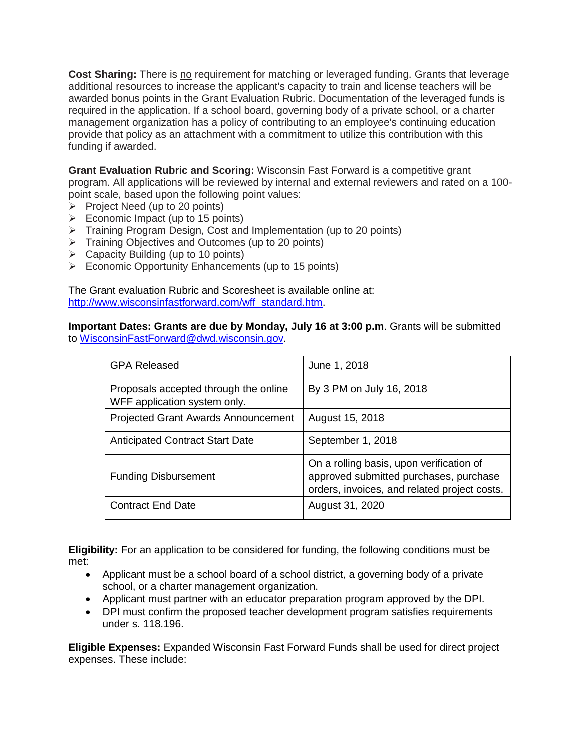**Cost Sharing:** There is no requirement for matching or leveraged funding. Grants that leverage additional resources to increase the applicant's capacity to train and license teachers will be awarded bonus points in the Grant Evaluation Rubric. Documentation of the leveraged funds is required in the application. If a school board, governing body of a private school, or a charter management organization has a policy of contributing to an employee's continuing education provide that policy as an attachment with a commitment to utilize this contribution with this funding if awarded.

**Grant Evaluation Rubric and Scoring:** Wisconsin Fast Forward is a competitive grant program. All applications will be reviewed by internal and external reviewers and rated on a 100 point scale, based upon the following point values:

- $\triangleright$  Project Need (up to 20 points)
- $\triangleright$  Economic Impact (up to 15 points)
- ➢ Training Program Design, Cost and Implementation (up to 20 points)
- ➢ Training Objectives and Outcomes (up to 20 points)
- $\triangleright$  Capacity Building (up to 10 points)
- ➢ Economic Opportunity Enhancements (up to 15 points)

The Grant evaluation Rubric and Scoresheet is available online at: [http://www.wisconsinfastforward.com/wff\\_standard.htm.](http://www.wisconsinfastforward.com/wff_standard.htm)

**Important Dates: Grants are due by Monday, July 16 at 3:00 p.m**. Grants will be submitted to [WisconsinFastForward@dwd.wisconsin.gov.](mailto:WisconsinFastForward@dwd.wisconsin.gov)

| <b>GPA Released</b>                                                   | June 1, 2018                                                                                                                       |
|-----------------------------------------------------------------------|------------------------------------------------------------------------------------------------------------------------------------|
| Proposals accepted through the online<br>WFF application system only. | By 3 PM on July 16, 2018                                                                                                           |
| <b>Projected Grant Awards Announcement</b>                            | August 15, 2018                                                                                                                    |
| <b>Anticipated Contract Start Date</b>                                | September 1, 2018                                                                                                                  |
| <b>Funding Disbursement</b>                                           | On a rolling basis, upon verification of<br>approved submitted purchases, purchase<br>orders, invoices, and related project costs. |
| <b>Contract End Date</b>                                              | August 31, 2020                                                                                                                    |

**Eligibility:** For an application to be considered for funding, the following conditions must be met:

- Applicant must be a school board of a school district, a governing body of a private school, or a charter management organization.
- Applicant must partner with an educator preparation program approved by the DPI.
- DPI must confirm the proposed teacher development program satisfies requirements under s. 118.196.

**Eligible Expenses:** Expanded Wisconsin Fast Forward Funds shall be used for direct project expenses. These include: